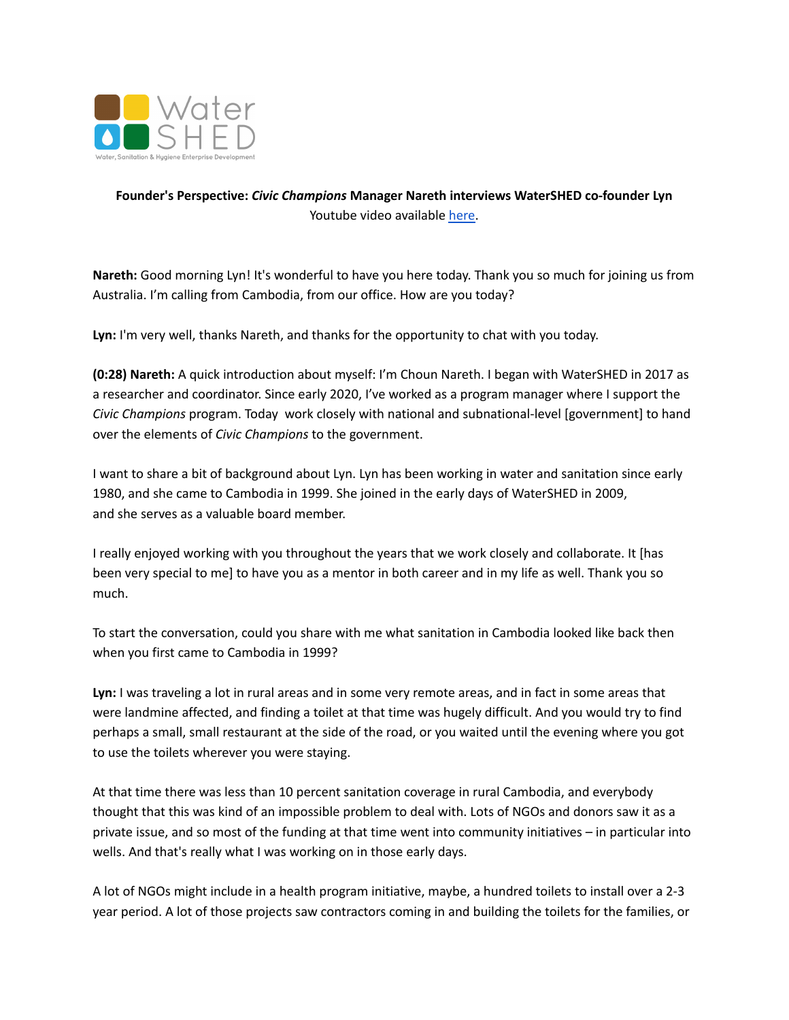

## **Founder's Perspective:** *Civic Champions* **Manager Nareth interviews WaterSHED co-founder Lyn** Youtube video available [here.](https://youtu.be/umej9yU6pRs)

**Nareth:** Good morning Lyn! It's wonderful to have you here today. Thank you so much for joining us from Australia. I'm calling from Cambodia, from our office. How are you today?

**Lyn:** I'm very well, thanks Nareth, and thanks for the opportunity to chat with you today.

**(0:28) Nareth:** A quick introduction about myself: I'm Choun Nareth. I began with WaterSHED in 2017 as a researcher and coordinator. Since early 2020, I've worked as a program manager where I support the *Civic Champions* program. Today work closely with national and subnational-level [government] to hand over the elements of *Civic Champions* to the government.

I want to share a bit of background about Lyn. Lyn has been working in water and sanitation since early 1980, and she came to Cambodia in 1999. She joined in the early days of WaterSHED in 2009, and she serves as a valuable board member.

I really enjoyed working with you throughout the years that we work closely and collaborate. It [has been very special to me] to have you as a mentor in both career and in my life as well. Thank you so much.

To start the conversation, could you share with me what sanitation in Cambodia looked like back then when you first came to Cambodia in 1999?

**Lyn:** I was traveling a lot in rural areas and in some very remote areas, and in fact in some areas that were landmine affected, and finding a toilet at that time was hugely difficult. And you would try to find perhaps a small, small restaurant at the side of the road, or you waited until the evening where you got to use the toilets wherever you were staying.

At that time there was less than 10 percent sanitation coverage in rural Cambodia, and everybody thought that this was kind of an impossible problem to deal with. Lots of NGOs and donors saw it as a private issue, and so most of the funding at that time went into community initiatives – in particular into wells. And that's really what I was working on in those early days.

A lot of NGOs might include in a health program initiative, maybe, a hundred toilets to install over a 2-3 year period. A lot of those projects saw contractors coming in and building the toilets for the families, or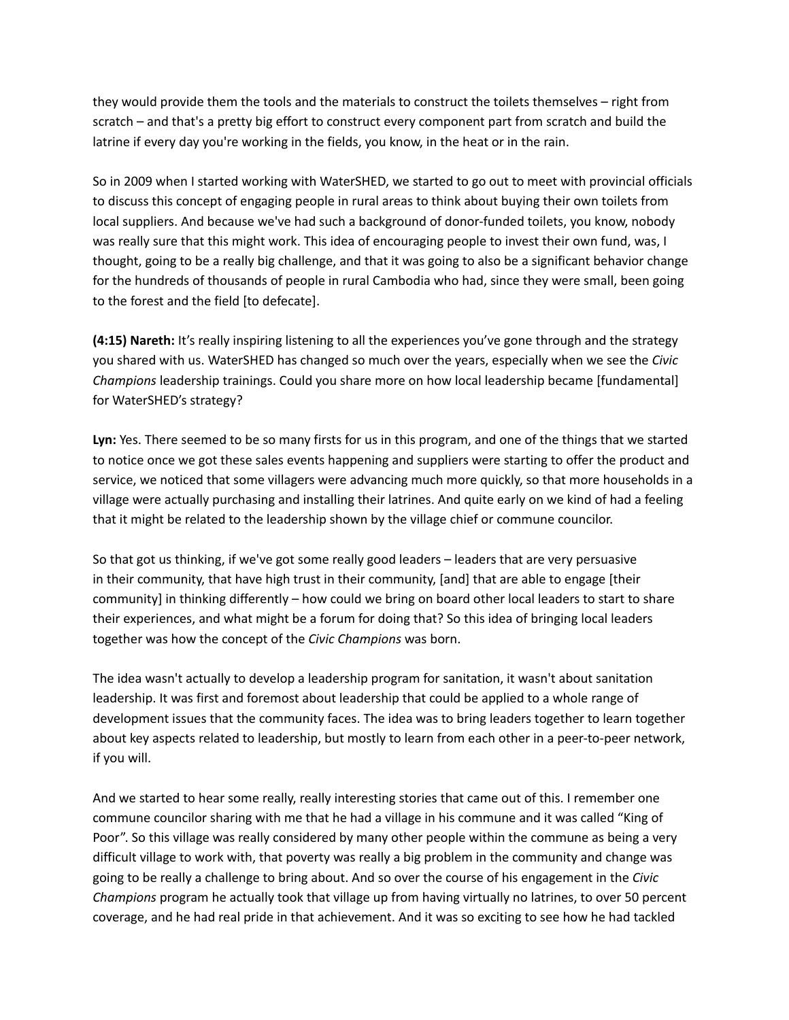they would provide them the tools and the materials to construct the toilets themselves – right from scratch – and that's a pretty big effort to construct every component part from scratch and build the latrine if every day you're working in the fields, you know, in the heat or in the rain.

So in 2009 when I started working with WaterSHED, we started to go out to meet with provincial officials to discuss this concept of engaging people in rural areas to think about buying their own toilets from local suppliers. And because we've had such a background of donor-funded toilets, you know, nobody was really sure that this might work. This idea of encouraging people to invest their own fund, was, I thought, going to be a really big challenge, and that it was going to also be a significant behavior change for the hundreds of thousands of people in rural Cambodia who had, since they were small, been going to the forest and the field [to defecate].

**(4:15) Nareth:** It's really inspiring listening to all the experiences you've gone through and the strategy you shared with us. WaterSHED has changed so much over the years, especially when we see the *Civic Champions* leadership trainings. Could you share more on how local leadership became [fundamental] for WaterSHED's strategy?

**Lyn:** Yes. There seemed to be so many firsts for us in this program, and one of the things that we started to notice once we got these sales events happening and suppliers were starting to offer the product and service, we noticed that some villagers were advancing much more quickly, so that more households in a village were actually purchasing and installing their latrines. And quite early on we kind of had a feeling that it might be related to the leadership shown by the village chief or commune councilor.

So that got us thinking, if we've got some really good leaders – leaders that are very persuasive in their community, that have high trust in their community, [and] that are able to engage [their community] in thinking differently – how could we bring on board other local leaders to start to share their experiences, and what might be a forum for doing that? So this idea of bringing local leaders together was how the concept of the *Civic Champions* was born.

The idea wasn't actually to develop a leadership program for sanitation, it wasn't about sanitation leadership. It was first and foremost about leadership that could be applied to a whole range of development issues that the community faces. The idea was to bring leaders together to learn together about key aspects related to leadership, but mostly to learn from each other in a peer-to-peer network, if you will.

And we started to hear some really, really interesting stories that came out of this. I remember one commune councilor sharing with me that he had a village in his commune and it was called "King of Poor". So this village was really considered by many other people within the commune as being a very difficult village to work with, that poverty was really a big problem in the community and change was going to be really a challenge to bring about. And so over the course of his engagement in the *Civic Champions* program he actually took that village up from having virtually no latrines, to over 50 percent coverage, and he had real pride in that achievement. And it was so exciting to see how he had tackled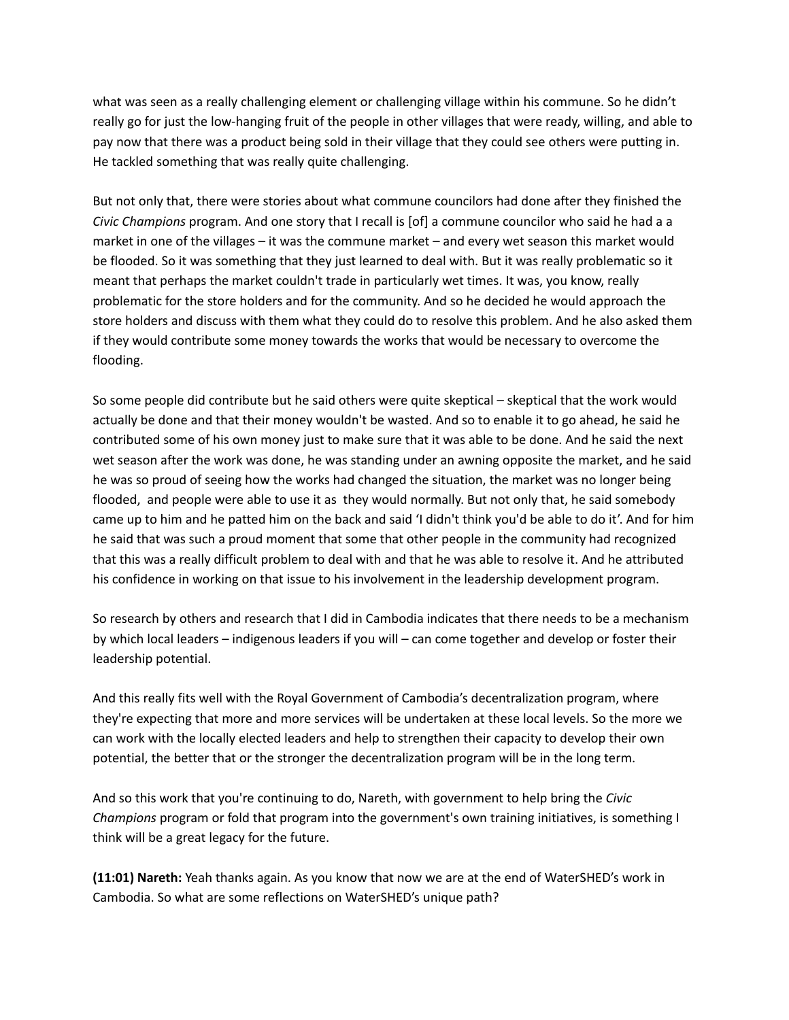what was seen as a really challenging element or challenging village within his commune. So he didn't really go for just the low-hanging fruit of the people in other villages that were ready, willing, and able to pay now that there was a product being sold in their village that they could see others were putting in. He tackled something that was really quite challenging.

But not only that, there were stories about what commune councilors had done after they finished the *Civic Champions* program. And one story that I recall is [of] a commune councilor who said he had a a market in one of the villages – it was the commune market – and every wet season this market would be flooded. So it was something that they just learned to deal with. But it was really problematic so it meant that perhaps the market couldn't trade in particularly wet times. It was, you know, really problematic for the store holders and for the community. And so he decided he would approach the store holders and discuss with them what they could do to resolve this problem. And he also asked them if they would contribute some money towards the works that would be necessary to overcome the flooding.

So some people did contribute but he said others were quite skeptical – skeptical that the work would actually be done and that their money wouldn't be wasted. And so to enable it to go ahead, he said he contributed some of his own money just to make sure that it was able to be done. And he said the next wet season after the work was done, he was standing under an awning opposite the market, and he said he was so proud of seeing how the works had changed the situation, the market was no longer being flooded, and people were able to use it as they would normally. But not only that, he said somebody came up to him and he patted him on the back and said 'I didn't think you'd be able to do it'. And for him he said that was such a proud moment that some that other people in the community had recognized that this was a really difficult problem to deal with and that he was able to resolve it. And he attributed his confidence in working on that issue to his involvement in the leadership development program.

So research by others and research that I did in Cambodia indicates that there needs to be a mechanism by which local leaders – indigenous leaders if you will – can come together and develop or foster their leadership potential.

And this really fits well with the Royal Government of Cambodia's decentralization program, where they're expecting that more and more services will be undertaken at these local levels. So the more we can work with the locally elected leaders and help to strengthen their capacity to develop their own potential, the better that or the stronger the decentralization program will be in the long term.

And so this work that you're continuing to do, Nareth, with government to help bring the *Civic Champions* program or fold that program into the government's own training initiatives, is something I think will be a great legacy for the future.

**(11:01) Nareth:** Yeah thanks again. As you know that now we are at the end of WaterSHED's work in Cambodia. So what are some reflections on WaterSHED's unique path?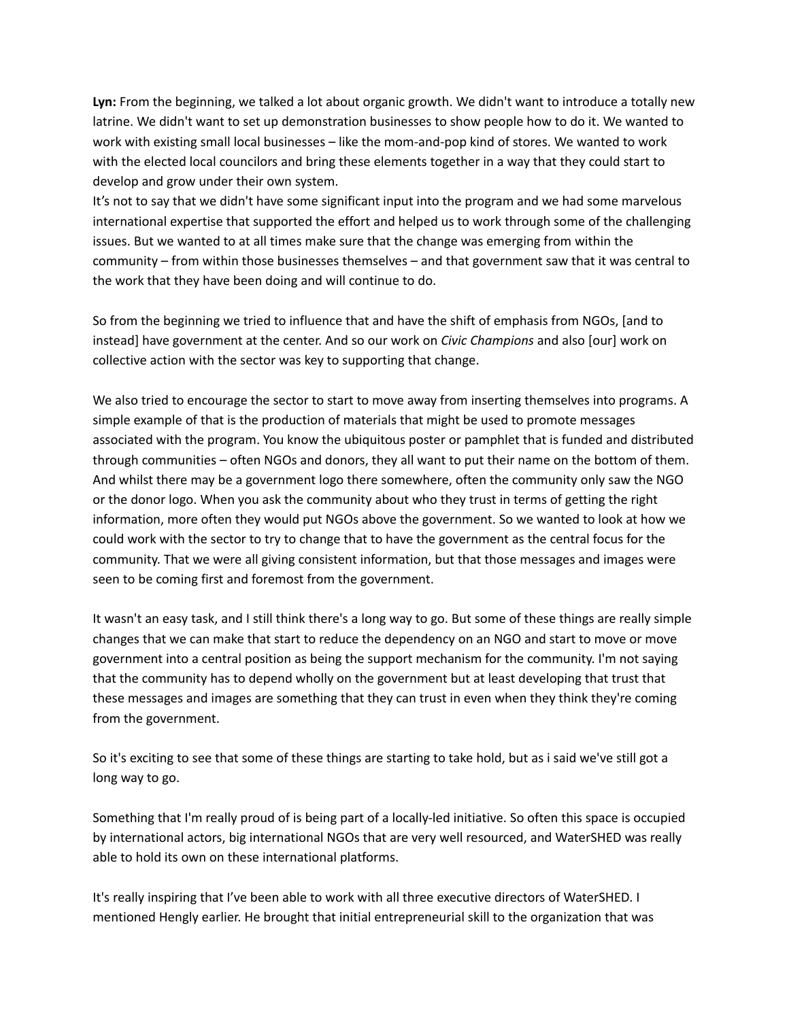**Lyn:** From the beginning, we talked a lot about organic growth. We didn't want to introduce a totally new latrine. We didn't want to set up demonstration businesses to show people how to do it. We wanted to work with existing small local businesses – like the mom-and-pop kind of stores. We wanted to work with the elected local councilors and bring these elements together in a way that they could start to develop and grow under their own system.

It's not to say that we didn't have some significant input into the program and we had some marvelous international expertise that supported the effort and helped us to work through some of the challenging issues. But we wanted to at all times make sure that the change was emerging from within the community – from within those businesses themselves – and that government saw that it was central to the work that they have been doing and will continue to do.

So from the beginning we tried to influence that and have the shift of emphasis from NGOs, [and to instead] have government at the center. And so our work on *Civic Champions* and also [our] work on collective action with the sector was key to supporting that change.

We also tried to encourage the sector to start to move away from inserting themselves into programs. A simple example of that is the production of materials that might be used to promote messages associated with the program. You know the ubiquitous poster or pamphlet that is funded and distributed through communities – often NGOs and donors, they all want to put their name on the bottom of them. And whilst there may be a government logo there somewhere, often the community only saw the NGO or the donor logo. When you ask the community about who they trust in terms of getting the right information, more often they would put NGOs above the government. So we wanted to look at how we could work with the sector to try to change that to have the government as the central focus for the community. That we were all giving consistent information, but that those messages and images were seen to be coming first and foremost from the government.

It wasn't an easy task, and I still think there's a long way to go. But some of these things are really simple changes that we can make that start to reduce the dependency on an NGO and start to move or move government into a central position as being the support mechanism for the community. I'm not saying that the community has to depend wholly on the government but at least developing that trust that these messages and images are something that they can trust in even when they think they're coming from the government.

So it's exciting to see that some of these things are starting to take hold, but as i said we've still got a long way to go.

Something that I'm really proud of is being part of a locally-led initiative. So often this space is occupied by international actors, big international NGOs that are very well resourced, and WaterSHED was really able to hold its own on these international platforms.

It's really inspiring that I've been able to work with all three executive directors of WaterSHED. I mentioned Hengly earlier. He brought that initial entrepreneurial skill to the organization that was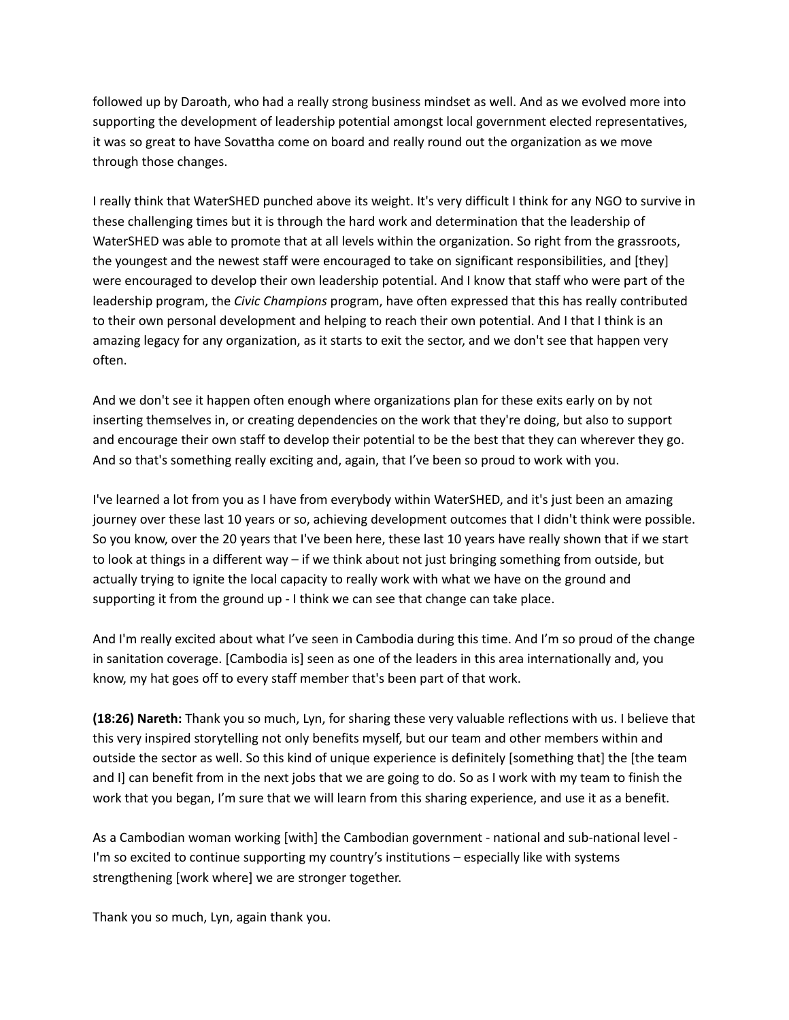followed up by Daroath, who had a really strong business mindset as well. And as we evolved more into supporting the development of leadership potential amongst local government elected representatives, it was so great to have Sovattha come on board and really round out the organization as we move through those changes.

I really think that WaterSHED punched above its weight. It's very difficult I think for any NGO to survive in these challenging times but it is through the hard work and determination that the leadership of WaterSHED was able to promote that at all levels within the organization. So right from the grassroots, the youngest and the newest staff were encouraged to take on significant responsibilities, and [they] were encouraged to develop their own leadership potential. And I know that staff who were part of the leadership program, the *Civic Champions* program, have often expressed that this has really contributed to their own personal development and helping to reach their own potential. And I that I think is an amazing legacy for any organization, as it starts to exit the sector, and we don't see that happen very often.

And we don't see it happen often enough where organizations plan for these exits early on by not inserting themselves in, or creating dependencies on the work that they're doing, but also to support and encourage their own staff to develop their potential to be the best that they can wherever they go. And so that's something really exciting and, again, that I've been so proud to work with you.

I've learned a lot from you as I have from everybody within WaterSHED, and it's just been an amazing journey over these last 10 years or so, achieving development outcomes that I didn't think were possible. So you know, over the 20 years that I've been here, these last 10 years have really shown that if we start to look at things in a different way – if we think about not just bringing something from outside, but actually trying to ignite the local capacity to really work with what we have on the ground and supporting it from the ground up - I think we can see that change can take place.

And I'm really excited about what I've seen in Cambodia during this time. And I'm so proud of the change in sanitation coverage. [Cambodia is] seen as one of the leaders in this area internationally and, you know, my hat goes off to every staff member that's been part of that work.

**(18:26) Nareth:** Thank you so much, Lyn, for sharing these very valuable reflections with us. I believe that this very inspired storytelling not only benefits myself, but our team and other members within and outside the sector as well. So this kind of unique experience is definitely [something that] the [the team and I] can benefit from in the next jobs that we are going to do. So as I work with my team to finish the work that you began, I'm sure that we will learn from this sharing experience, and use it as a benefit.

As a Cambodian woman working [with] the Cambodian government - national and sub-national level - I'm so excited to continue supporting my country's institutions – especially like with systems strengthening [work where] we are stronger together.

Thank you so much, Lyn, again thank you.